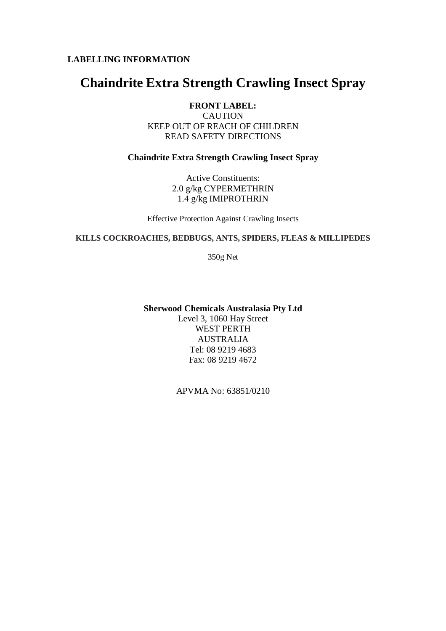# **LABELLING INFORMATION**

# **Chaindrite Extra Strength Crawling Insect Spray**

**FRONT LABEL: CAUTION** KEEP OUT OF REACH OF CHILDREN READ SAFETY DIRECTIONS

#### **Chaindrite Extra Strength Crawling Insect Spray**

Active Constituents: 2.0 g/kg CYPERMETHRIN 1.4 g/kg IMIPROTHRIN

Effective Protection Against Crawling Insects

#### **KILLS COCKROACHES, BEDBUGS, ANTS, SPIDERS, FLEAS & MILLIPEDES**

350g Net

#### **Sherwood Chemicals Australasia Pty Ltd**

Level 3, 1060 Hay Street WEST PERTH AUSTRALIA Tel: 08 9219 4683 Fax: 08 9219 4672

APVMA No: 63851/0210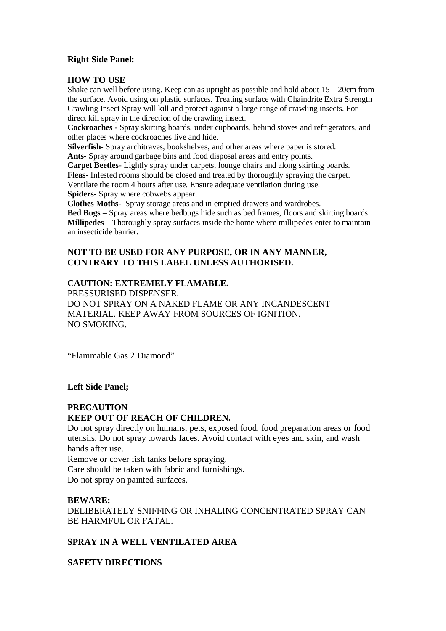### **Right Side Panel:**

#### **HOW TO USE**

Shake can well before using. Keep can as upright as possible and hold about  $15 - 20$ cm from the surface. Avoid using on plastic surfaces. Treating surface with Chaindrite Extra Strength Crawling Insect Spray will kill and protect against a large range of crawling insects. For direct kill spray in the direction of the crawling insect.

**Cockroaches -** Spray skirting boards, under cupboards, behind stoves and refrigerators, and other places where cockroaches live and hide.

**Silverfish-** Spray architraves, bookshelves, and other areas where paper is stored. **Ants-** Spray around garbage bins and food disposal areas and entry points.

**Carpet Beetles-** Lightly spray under carpets, lounge chairs and along skirting boards. **Fleas-** Infested rooms should be closed and treated by thoroughly spraying the carpet. Ventilate the room 4 hours after use. Ensure adequate ventilation during use. **Spiders-** Spray where cobwebs appear.

**Clothes Moths-** Spray storage areas and in emptied drawers and wardrobes.

**Bed Bugs** – Spray areas where bedbugs hide such as bed frames, floors and skirting boards. **Millipedes** – Thoroughly spray surfaces inside the home where millipedes enter to maintain an insecticide barrier.

# **NOT TO BE USED FOR ANY PURPOSE, OR IN ANY MANNER, CONTRARY TO THIS LABEL UNLESS AUTHORISED.**

### **CAUTION: EXTREMELY FLAMABLE.**

PRESSURISED DISPENSER. DO NOT SPRAY ON A NAKED FLAME OR ANY INCANDESCENT MATERIAL. KEEP AWAY FROM SOURCES OF IGNITION. NO SMOKING.

"Flammable Gas 2 Diamond"

### **Left Side Panel;**

# **PRECAUTION KEEP OUT OF REACH OF CHILDREN.**

Do not spray directly on humans, pets, exposed food, food preparation areas or food utensils. Do not spray towards faces. Avoid contact with eyes and skin, and wash hands after use.

Remove or cover fish tanks before spraying.

Care should be taken with fabric and furnishings.

Do not spray on painted surfaces.

### **BEWARE:**

DELIBERATELY SNIFFING OR INHALING CONCENTRATED SPRAY CAN BE HARMFUL OR FATAL.

## **SPRAY IN A WELL VENTILATED AREA**

**SAFETY DIRECTIONS**